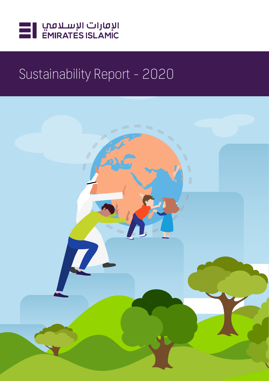

# Sustainability Report - 2020

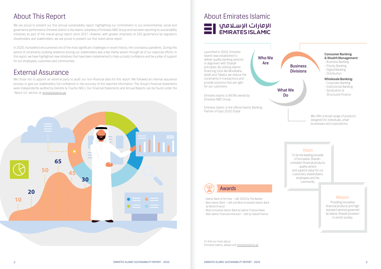We are proud to present our first annual sustainability report, highlighting our commitment to our environmental, social and governance performance. Emirates Islamic is the Islamic subsidiary of Emirates NBD Group and has been reporting its sustainability initiatives as part of the overall group report since 2017. However, with greater emphasis on ESG governance by regulators shareholders and stakeholders, we are proud to present our first stand alone report.

We chose not to appoint an external party to audit our non-financial data for this report. We followed an internal assurance process to give our stakeholders full confidence in the accuracy of the reported information. The Group's financial statements were independently audited by Deloitte & Touche (M.E.). Our Financial Statements and Annual Reports can be found under the "About Us" section at emiratesislamic.ae



In 2020, humankind encountered one of the most significant challenges in recent history, the coronavirus pandemic. During this period of uncertainty, building resilience among our stakeholders was a key theme woven through all of our response efforts. In this report, we have highlighted new initiatives that have been implemented to help us build confidence and be a pillar of support for our employees, customers and communities.

> We offer a broad range of products designed for individuals, small businesses and corporations

Launched in 2004, Emirates Islamic was established to deliver quality banking services in alignment with Shariah principles. By utilising Islamic financing tools like Murabaha, Ijarah and Takaful, we reduce the uncertainty in transactions and provide solutions that are right for our customers.

Emirates Islamic is 99.9% owned by Emirates NBD Group.

Emirates Islamic is the official Islamic Banking Partner of Expo 2020 Dubai.

To find out more about Emirates Islamic, please visit emiratesislamic.ae

To be the leading provider of innovative, Shariahcompliant financial products, quality service and superior value for our customers, shareholders, employees and the community.

- Islamic Bank of the Year – UAE 2020 by The Banker - Best Islamic Bank – UAE and Most Innovative Islamic Bank by World Finance

- Most Innovative Islamic Bank by Islamic Finance News

- Best Islamic Financial Institution – UAE by Global Finance

Providing innovative financial products and high standard services governed by Islamic Shariah provision to enrich society.

#### **Consumer Banking & Wealth Management:**

- Business Banking
- Priority Banking
- Digital Banking
- Distribution

#### **Wholesale Banking:**

- Corporate Banking
- Institutional Banking
- Syndication & Structured Finance

Who We Are

#### Vision

#### Mission



# About This Report

# External Assurance

# About Emirates Islamic

I الإمارات الإسـلامب<br>EMIRATES ISLAMIC

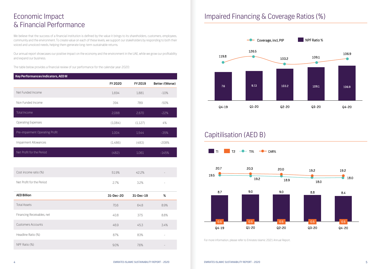We believe that the success of a financial institution is defined by the value it brings to its shareholders, customers, employees, community and the environment. To create value on each of these levels, we support our stakeholders by responding to both their voiced and unvoiced needs, helping them generate long-term sustainable returns.

Our annual report showcases our positive impact on the economy and the environment in the UAE, while we grow our profitability and expand our business.

The table below provides a financial review of our performance for the calendar year 2020:

# Economic Impact & Financial Performance

# Impaired Financing & Coverage Ratios (%)



## Capitilisation (AED B)



| Key Performances Indicators, AED M |                |         |                |
|------------------------------------|----------------|---------|----------------|
|                                    | <b>FY 2020</b> | FY 2019 | Better/(Worse) |
| Net Funded Income                  | 1,694          | 1,881   | $-10%$         |
| Non Funded Income                  | 394            | 789     | -50%           |
| Total Income                       | 2,088          | 2,670   | $-22%$         |
| <b>Operating Expenses</b>          | (1,084)        | (1,127) | 4%             |
| Pre-impairment Operating Profit    | 1.004          | 1,544   | $-35%$         |
| Impairment Allowances              | (1,486)        | (483)   | $-208%$        |
| Net Profit for the Period          | (482)          | 1,061   | $-145%$        |

| Cost income ratio (%)     | 51.9% | 42.2% | - |
|---------------------------|-------|-------|---|
| Net Profit for the Period | 2.7%  | 3.2%  | - |

| <b>AED Billion</b>         | 31-Dec-20 | 31-Dec-19 | %                        |
|----------------------------|-----------|-----------|--------------------------|
| <b>Total Assets</b>        | 70.6      | 64.8      | 8.9%                     |
| Financing Receivables, net | 40.8      | 37.5      | 8.8%                     |
| <b>Customers Accounts</b>  | 46.9      | 45.3      | 3.4%                     |
| Headline Ratio (%)         | 87%       | 83%       | $\overline{\phantom{0}}$ |
| NPF Ratio (%)              | 9.0%      | 7.6%      | $\qquad \qquad -$        |

For more information, please refer to Emirates Islamic 2021 Annual Report.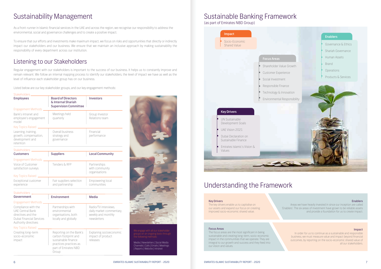#### **Enablers**

As a front-runner in Islamic financial services in the UAE and across the region, we recognise our responsibility to address the environmental, social and governance challenges and to create a positive impact.

To ensure that our efforts and investments make maximum impact, we focus on risks and opportunities that directly or indirectly impact our stakeholders and our business. We ensure that we maintain an inclusive approach by making sustainability the responsibility of every department across our institution.

Regular engagement with our stakeholders is important to the success of our business. It helps us to constantly improve and remain relevant. We follow an internal mapping process to identify our stakeholders, the level of impact we have as well as the level of influence each stakeholder group has on our business.

Listed below are our key stakeholder groups, and our key engagement methods:

The focus areas are the most significant in being sustainable and creating long-term, socio-economic impact in the communities that we operate. They are integral to our growth and success and they feed into our vision and values.

tters | Social Media s | Emails | Meetings ) rissite | Intranet

| Stakeholders_                                                                                                                   |                                                                                   |                                                                                       |
|---------------------------------------------------------------------------------------------------------------------------------|-----------------------------------------------------------------------------------|---------------------------------------------------------------------------------------|
| <b>Employees</b>                                                                                                                | <b>Board of Directors</b><br>& Internal Shariah<br><b>Supervision Committee</b>   | <b>Investors</b>                                                                      |
| Engagement Methods.                                                                                                             |                                                                                   |                                                                                       |
| Bank's intranet and<br>employee's engagement<br>model                                                                           | Meetings held<br>quarterly                                                        | Group Investor<br>Relations team                                                      |
| Key Topics Raised                                                                                                               |                                                                                   |                                                                                       |
| Learning, training,<br>growth, compensation,<br>development and<br>retention                                                    | Overall business<br>strategy and<br>governance                                    | Financial<br>performance                                                              |
| Stakeholders                                                                                                                    |                                                                                   |                                                                                       |
| <b>Customers</b>                                                                                                                | <b>Suppliers</b>                                                                  | <b>Local Community</b>                                                                |
| Engagement Methods _                                                                                                            |                                                                                   |                                                                                       |
| Voice of Customer<br>satisfaction surveys                                                                                       | Tenders & RFP                                                                     | Partnerships<br>with community<br>organisations                                       |
| Key Topics Raised                                                                                                               |                                                                                   |                                                                                       |
| Exceptional customer<br>experience                                                                                              | Fair suppliers selection<br>and partnership                                       | Empowering local<br>communities                                                       |
| Stakeholders _                                                                                                                  |                                                                                   |                                                                                       |
| <b>Government</b>                                                                                                               | <b>Environment</b>                                                                | <b>Media</b>                                                                          |
| Engagement Methods __                                                                                                           |                                                                                   |                                                                                       |
| Compliance with the<br><b>UAE Central Bank</b><br>directives and the<br><b>Dubai Financial Services</b><br>Authority directives | Partnerships with<br>environmental<br>organisations, both<br>locally and globally | Radio/TV interviews,<br>daily market commentary,<br>weekly and monthly<br>newsletters |
| <b>Key Topics Raised</b>                                                                                                        |                                                                                   |                                                                                       |
| Creating long-term<br>socio-economic<br>impact                                                                                  | Reporting on the Bank's<br>carbon footprint and<br>sustainable finance            | Explaning socioeconomic<br>impact of product<br>releases                              |
|                                                                                                                                 | practices practices as<br>part of Emirates NBD<br>Group                           |                                                                                       |

# Sustainability Management Sustainable Banking Framework

The key drivers enable us to capitalise on our assets and expand our focus on creating improved socio-economic shared value.

Areas we have heavily invested in since our inception are called 'Enablers'. The six areas of investment have grown to be reliable assets and provide a foundation for us to create impact.

#### **Impact**

In order for us to continue as a sustainable and responsible business, we must measure value and impact beyond financial outcomes, by reporting on the socio-economic shared value of all our stakeholders.

#### Key Drivers

#### Focus Areas

(as part of Emirates NBD Group)

## Understanding the Framework

### Listening to our Stakeholders

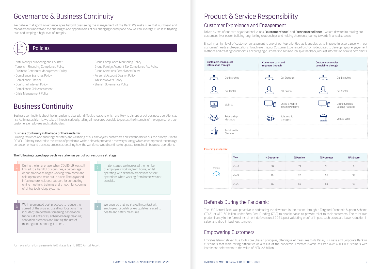# Governance & Business Continuity **Example 20 Follow Product & Service Responsibility**

We believe that good governance goes beyond overseeing the management of the Bank. We make sure that our board and management understand the challenges and opportunities of our changing industry and how we can leverage it, while mitigating



Driven by two of our core organisational values: "customer focus" and "service excellence", we are devoted to making our customers' lives easier, building long-lasting relationships and helping them on a journey towards financial success.

The UAE Central Bank was proactive in addressing the downturn in the market through a Targeted Economic Support Scheme (TESS) of AED 50 billion under Zero Cost Funding (ZCF) to enable banks to provide relief to their customers. The relief was predominantly in the form of instalment deferrals until 2021, post validating proof of impact such as unpaid leave, reduction in salary and drop in business turnover.

Ensuring a high level of customer engagement is one of our top priorities, as it enables us to improve in accordance with our customers' needs and expectations. To achieve this, our Customer Experience Function is dedicated to developing our engagement methods and creating touchpoints, encouraging customers to get in touch, give feedback, request information or raise complaints.

Emirates Islamic stayed true to its core Shariah principles, offering relief measures to its Retail, Business and Corporate Banking customers that were facing difficulties as a result of the pandemic. Emirates Islamic assisted over 40,000 customers with instalment deferments to the value of AED 2.3 billion.

Business continuity is about having a plan to deal with difficult situations which are likely to disrupt or put business operations at risk. At Emirates Islamic, we take all threats seriously, taking all measures possible to protect the interests of the organisation, our customers, employees and stakeholders.

#### Business Continuity in the Face of the Pandemic

Building resilience and ensuring the safety and wellbeing of our employees, customers and stakeholders is our top priority. Prior to COVID-19 being elevated to the status of pandemic, we had already prepared a recovery strategy which encompassed technology enhancements and business processes, detailing how the workforce would continue to operate to maintain business operations.



#### The following staged approach was taken as part of our response strategy:

- Anti-Money Laundering and Counter
- Terrorism Financing Compliance Policy - Business Continuity Management Policy
- Compliance Branches Policy
- Compliance Charter
- Conflict of Interest Policy
- Compliance Risk Assessment
- Crisis Management Policy
- Group Compliance Monitoring Policy
- Group Foreign Account Tax Compliance Act Policy
- Group Sanctions Compliance Policy
- Personal Account Dealing Policy
- Whistleblowers Policy
- Shariah Governance Policy

### Customer Expreience and Engagement

### Deferrals During the Pandemic

### Empowering Customers

# Business Continuity

### Policies

For more information, please refer to Emirates Islamic 2020 Annual Report.

| Year | % Detractor | % Passive | % Promoter | Score |
|------|-------------|-----------|------------|-------|
| 2018 |             |           |            |       |
|      |             |           |            |       |
|      |             |           |            |       |

#### **Emirates Islamic**

| Customers can request<br>information through |                          | <b>Customers can send</b><br>requests through |                                      | <b>Customers can raise</b><br>complaints through |                                             |
|----------------------------------------------|--------------------------|-----------------------------------------------|--------------------------------------|--------------------------------------------------|---------------------------------------------|
|                                              | Our Branches             |                                               | Our Branches                         |                                                  | Our Branches                                |
|                                              | Call Centre              |                                               | Call Centre                          |                                                  | Call Centre                                 |
|                                              | Website                  | ᇰ                                             | Online & Mobile<br>Banking Platforms | U                                                | Online & Mobile<br><b>Banking Platforms</b> |
|                                              | Relationship<br>Managers |                                               | Relationship<br>Managers             |                                                  | Central Bank                                |
|                                              | Social Media<br>Channels |                                               |                                      |                                                  |                                             |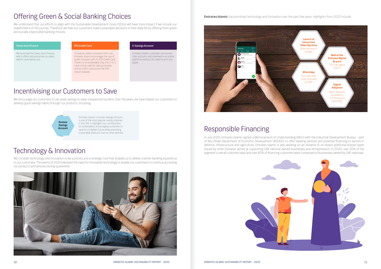We understand that our efforts to align with the Sustainable Development Goals (SDGs) will have more impact if we include our stakeholders on the journey. Therefore, we help our customers make sustainable decisions in their daily life by offering them green and socially responsible banking choices.

> In July 2020, Emirates Islamic signed a Memorandum of Understanding (MoU) with the Industrial Development Bureau - part of Abu Dhabi Department of Economic Development (ADDED), to offer banking services and potential financing to sectors in defence, infrastructure and agriculture. Emirates Islamic is also working on an initiative to on-board additional license types issued by other Emirates, aimed at supporting UAE national owned businesses and entrepreneurs. In 2020, over 20% of the segment's overall customer base and over 60% of financing customers were comprised of businesses owned by UAE nationals.



**Emirates Islamic** has prioritised technology and innovation over the past few years. Highlights from 2020 include:

We launched the Green Auto Finance. which offers reduced prices on select electric and hybrid cars.

We encourage our customers to set aside savings to ease unexpected burdens. Over the years, we have helped our customers to develop good savings habits through our products, including:

We consider technology and innovation to be a priority and a strategic tool that enables us to deliver a better banking experience to our customers. The events of 2020 elevated the need for innovative technology to enable our customers to continue accessing our products and services during quarantine.



# Offering Green & Social Banking Choices

## Responsible Financing

### Incentivising our Customers to Save

#### Green Auto Finance

### RTA Credit Card

To reduce carbon emissions from cars, Emirates Islamic encourages the use of public transport with its RTA Credit Card. Thanks to an embedded chip, this 2-in-1 card can be used for daily purchases and as a NOL Card across the RTA transit network.

#### E-Savings Account

Emirates Islamic customers can access their accounts and statements via online platforms without the need to print any paper.



Emirates Islamic's Kunooz Savings Account is one of the most popular saving schemes in the UAE. It highlights our contributions to sustainability, encouraging customers to save for a brighter future while promoting sustainable products such as Tesla vehicles.

### Technology & Innovation

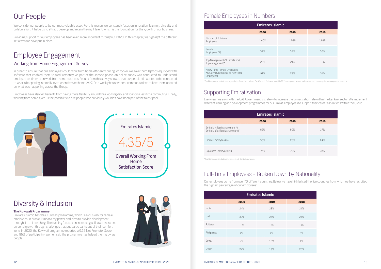We consider our people to be our most valuable asset. For this reason, we constantly focus on innovation, learning, diversity and collaboration. It helps us to attract, develop and retain the right talent, which is the foundation for the growth of our business.

Providing support for our employees has been even more important throughout 2020. In this chapter, we highlight the different initiatives we have put in place.

#### **The Kuwwati Programme**

Emirates Islamic has their Kuwwati programme, which is exclusively for female employees. In Arabic, it means my power and aims to provide development through 1-to-1 coaching. The training focuses on increasing self-awareness and personal growth through challenges that put participants out of their comfort zone. In 2020, the Kuwwati programme reported a 9.25 Net Promoter Score and 95% of participating women said the programme has helped them grow as people.



Every year, we align with the UAE Government's strategy to increase the Emiratisation rate within the banking sector. We implement different learning and development programmes for our Emirati employees to support their career aspirations within the Group.

\*Top Management includes employees in Job Bands S and above. The Women's Club was created in 2019 to empower women and increase the percentage in top management positions.

In order to ensure that our employees could work from home efficiently during lockdown, we gave them laptops equipped with software that enabled them to work remotely. As part of the second phase, an online survey was conducted to understand employee sentiments on work from home practices. Results from this survey showed that our people still wanted to be connected to what is happening internally, even when they are home 24/7. On a weekly basis, we sent communications to keep them updated on what was happening across the Group.

Employees have also felt benefits from having more flexibility around their working day, and spending less time commuting. Finally, working from home gives us the possibility to hire people who previously wouldn't have been part of the talent pool.



# Our People

## Diversity & Inclusion

### Female Employees in Numbers

### Supporting Emiratisation

# Employee Engagement

### Working from Home Engagement Survey

| <b>Emirates Islamic</b>                                                           |       |       |       |
|-----------------------------------------------------------------------------------|-------|-------|-------|
|                                                                                   | 2020  | 2019  | 2018  |
| Number of Full-time<br><b>Employees</b>                                           | 1,402 | 1,539 | 1,645 |
| Female<br>Employees (%)                                                           | 34%   | 32%   | 30%   |
| Top Management (% Female of all<br>TopManagement)*                                | 23%   | 21%   | 11%   |
| Newly Hired Female Employees<br>Annually (% Female of all New Hired<br>Employees) | 51%   | 28%   | 31%   |

| <b>Emirates Islamic</b>                                           |      |      |      |
|-------------------------------------------------------------------|------|------|------|
|                                                                   | 2020 | 2019 | 2018 |
| Emiratis in Top Management (%<br>Emiratis of all Top Management)* | 52%  | 50%  | 37%  |
| Emirati Employees (%)                                             | 30%  | 25%  | 24%  |
| Expatriate Employees (%)                                          | 70%  | 75%  | 76%  |

Our employees come from over 70 different countries. Below we have highlighted the five countries from which we have recruited the highest percentage of our employees:

### Full-Time Employees - Broken Down by Nationality

|             | <b>Emirates Islamic</b> |      |      |
|-------------|-------------------------|------|------|
|             | 2020                    | 2019 | 2018 |
| India       | 24%                     | 28%  | 24%  |
| <b>UAE</b>  | 30%                     | 25%  | 24%  |
| Pakistan    | 13%                     | 17%  | 14%  |
| Philippines | 2%                      | 2%   | 3%   |
| Egypt       | 7%                      | 10%  | 9%   |
| Other       | 24%                     | 18%  | 26%  |

| 2018 |  |
|------|--|
| 24%  |  |
| 24%  |  |
| 14%  |  |
| 3%   |  |
| 9%   |  |
| 26%  |  |

\* Top Management includes employees in Job Bands S and above.

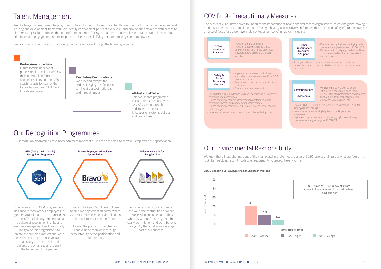Our recognition programmes have been extremely important during the pandemic to show our employees our appreciation.

The events of 2020 have served to underline the importance of health and wellness to organisations across the globe, making it a priority to deepen our commitment to ensuring a healthy and positive workforce. As the health and safety of our employees is an area of focus for us, we have implemented a number of initiatives, including:

We challenge our employees, helping them to tap into their unlocked potential through our performance management and learning and development framework. We identify improvement points at every level, and provide our employees with access to platforms to upskill and broaden the scope of their expertise. During the pandemic, our employees have shown resilience, solution orientation and engagement in their response to the crisis, solidifying our talent management framework.

> **Regulatory Certifications** We provided competitive and challenging certifications to nine of our UAE nationals<br>and three Unigrads.

#### **Al Mustagbal Teller**

### Our Recognition Programmes

### COVID19- Precautionary Measures



Emirates Islamic contributes to the development of employees through the following initiatives:

# Talent Management

#### **Professional coaching**

Future leaders underwent professional coaching to improve their individual performance and personal development. The coaching lasts for six months for leaders and over 50% were Emirati employees.

> This two-month programme takes learners from a very basic level of banking through end-to-end processes. It focuses on systems, policies and procedures.



2020 Savings = (Actual savings from January to November) + (Expected savings in December)

**Emirates Islamic** 

2020 Target

2020 Savings



We know that climate change is one of the most pressing challenges of our time. 2020 gave us a glimpse of what our future might look like if we do not act with collective responsibility to protect the environment.

#### 2020 Baseline vs. Savings (Paper Sheets in Millions)



### Our Environmental Responsibility